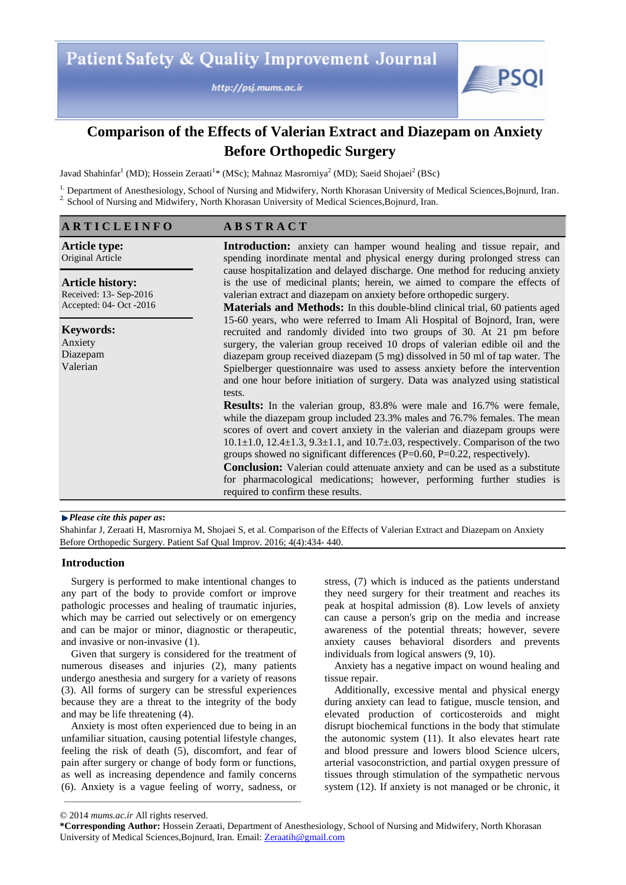

# **Comparison of the Effects of Valerian Extract and Diazepam on Anxiety Before Orthopedic Surgery**

Javad Shahinfar<sup>1</sup> (MD); Hossein Zeraati<sup>1</sup>\* (MSc); Mahnaz Masrorniya<sup>2</sup> (MD); Saeid Shojaei<sup>2</sup> (BSc)

<sup>1.</sup> Department of Anesthesiology, School of Nursing and Midwifery, North Khorasan University of Medical Sciences, Bojnurd, Iran. <sup>2.</sup> School of Nursing and Midwifery, North Khorasan University of Medical Sciences, Bojnurd, Iran.

## **A R T I C L E I N F O**

**A B S T R A C T**

**Article type:** Original Article

**Article history:** Received: 13- Sep-2016 Accepted: 04- Oct -2016

**Keywords:** Anxiety Diazepam Valerian

**Introduction:** anxiety can hamper wound healing and tissue repair, and spending inordinate mental and physical energy during prolonged stress can cause hospitalization and delayed discharge. One method for reducing anxiety is the use of medicinal plants; herein, we aimed to compare the effects of valerian extract and diazepam on anxiety before orthopedic surgery.

**Materials and Methods:** In this double-blind clinical trial, 60 patients aged 15-60 years, who were referred to Imam Ali Hospital of Bojnord, Iran, were recruited and randomly divided into two groups of 30. At 21 pm before surgery, the valerian group received 10 drops of valerian edible oil and the diazepam group received diazepam (5 mg) dissolved in 50 ml of tap water. The Spielberger questionnaire was used to assess anxiety before the intervention and one hour before initiation of surgery. Data was analyzed using statistical tests.

**Results:** In the valerian group, 83.8% were male and 16.7% were female, while the diazepam group included 23.3% males and 76.7% females. The mean scores of overt and covert anxiety in the valerian and diazepam groups were  $10.1 \pm 1.0$ ,  $12.4 \pm 1.3$ ,  $9.3 \pm 1.1$ , and  $10.7 \pm .03$ , respectively. Comparison of the two groups showed no significant differences (P=0.60, P=0.22, respectively).

**Conclusion:** Valerian could attenuate anxiety and can be used as a substitute for pharmacological medications; however, performing further studies is required to confirm these results.

#### *Please cite this paper as***:**

Shahinfar J, Zeraati H, Masrorniya M, Shojaei S, et al. Comparison of the Effects of Valerian Extract and Diazepam on Anxiety Before Orthopedic Surgery. Patient Saf Qual Improv. 2016; 4(4):434- 440.

## **Introduction**

Surgery is performed to make intentional changes to any part of the body to provide comfort or improve pathologic processes and healing of traumatic injuries, which may be carried out selectively or on emergency and can be major or minor, diagnostic or therapeutic, and invasive or non-invasive (1).

Given that surgery is considered for the treatment of numerous diseases and injuries (2), many patients undergo anesthesia and surgery for a variety of reasons (3). All forms of surgery can be stressful experiences because they are a threat to the integrity of the body and may be life threatening (4).

Anxiety is most often experienced due to being in an unfamiliar situation, causing potential lifestyle changes, feeling the risk of death (5), discomfort, and fear of pain after surgery or change of body form or functions, as well as increasing dependence and family concerns (6). Anxiety is a vague feeling of worry, sadness, or

stress, (7) which is induced as the patients understand they need surgery for their treatment and reaches its peak at hospital admission (8). Low levels of anxiety can cause a person's grip on the media and increase awareness of the potential threats; however, severe anxiety causes behavioral disorders and prevents individuals from logical answers (9, 10).

Anxiety has a negative impact on wound healing and tissue repair.

Additionally, excessive mental and physical energy during anxiety can lead to fatigue, muscle tension, and elevated production of corticosteroids and might disrupt biochemical functions in the body that stimulate the autonomic system (11). It also elevates heart rate and blood pressure and lowers blood Science ulcers, arterial vasoconstriction, and partial oxygen pressure of tissues through stimulation of the sympathetic nervous system (12). If anxiety is not managed or be chronic, it

<sup>© 2014</sup> *mums.ac.ir* All rights reserved.

**<sup>\*</sup>Corresponding Author:** Hossein Zeraati, Department of Anesthesiology, School of Nursing and Midwifery, North Khorasan University of Medical Sciences,Bojnurd, Iran. Email: Zeraatih@gmail.com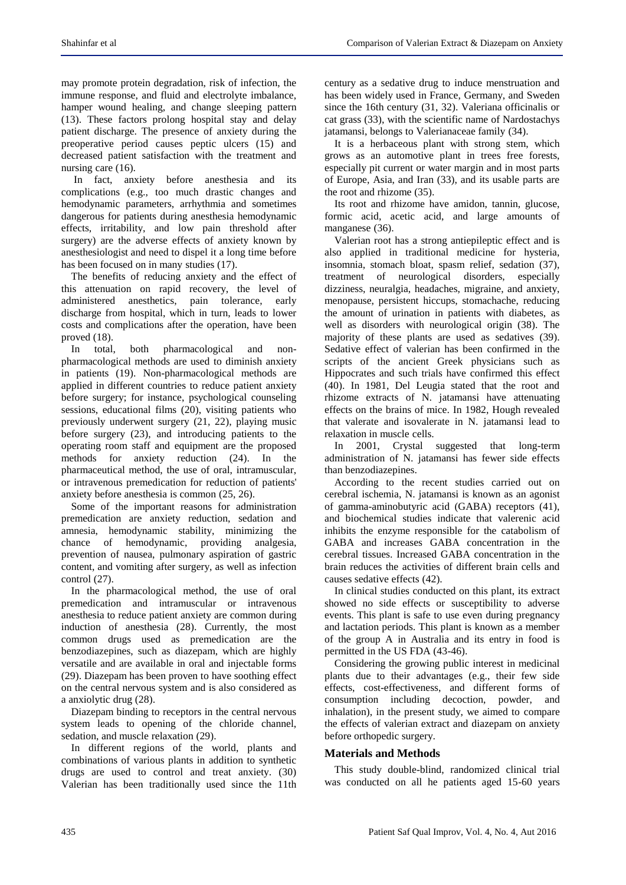may promote protein degradation, risk of infection, the immune response, and fluid and electrolyte imbalance, hamper wound healing, and change sleeping pattern (13). These factors prolong hospital stay and delay patient discharge. The presence of anxiety during the preoperative period causes peptic ulcers (15) and decreased patient satisfaction with the treatment and nursing care  $(16)$ .

In fact, anxiety before anesthesia and its complications (e.g., too much drastic changes and hemodynamic parameters, arrhythmia and sometimes dangerous for patients during anesthesia hemodynamic effects, irritability, and low pain threshold after surgery) are the adverse effects of anxiety known by anesthesiologist and need to dispel it a long time before has been focused on in many studies (17).

The benefits of reducing anxiety and the effect of this attenuation on rapid recovery, the level of administered anesthetics, pain tolerance, early discharge from hospital, which in turn, leads to lower costs and complications after the operation, have been proved (18).

In total, both pharmacological and nonpharmacological methods are used to diminish anxiety in patients (19). Non-pharmacological methods are applied in different countries to reduce patient anxiety before surgery; for instance, psychological counseling sessions, educational films (20), visiting patients who previously underwent surgery (21, 22), playing music before surgery (23), and introducing patients to the operating room staff and equipment are the proposed methods for anxiety reduction (24). In the pharmaceutical method, the use of oral, intramuscular, or intravenous premedication for reduction of patients' anxiety before anesthesia is common (25, 26).

Some of the important reasons for administration premedication are anxiety reduction, sedation and amnesia, hemodynamic stability, minimizing the chance of hemodynamic, providing analgesia, prevention of nausea, pulmonary aspiration of gastric content, and vomiting after surgery, as well as infection control (27).

In the pharmacological method, the use of oral premedication and intramuscular or intravenous anesthesia to reduce patient anxiety are common during induction of anesthesia (28). Currently, the most common drugs used as premedication are the benzodiazepines, such as diazepam, which are highly versatile and are available in oral and injectable forms (29). Diazepam has been proven to have soothing effect on the central nervous system and is also considered as a anxiolytic drug (28).

Diazepam binding to receptors in the central nervous system leads to opening of the chloride channel, sedation, and muscle relaxation (29).

In different regions of the world, plants and combinations of various plants in addition to synthetic drugs are used to control and treat anxiety. (30) Valerian has been traditionally used since the 11th century as a sedative drug to induce menstruation and has been widely used in France, Germany, and Sweden since the 16th century (31, 32). Valeriana officinalis or cat grass (33), with the scientific name of Nardostachys jatamansi, belongs to Valerianaceae family (34).

It is a herbaceous plant with strong stem, which grows as an automotive plant in trees free forests, especially pit current or water margin and in most parts of Europe, Asia, and Iran (33), and its usable parts are the root and rhizome (35).

Its root and rhizome have amidon, tannin, glucose, formic acid, acetic acid, and large amounts of manganese (36).

Valerian root has a strong antiepileptic effect and is also applied in traditional medicine for hysteria, insomnia, stomach bloat, spasm relief, sedation (37), treatment of neurological disorders, especially dizziness, neuralgia, headaches, migraine, and anxiety, menopause, persistent hiccups, stomachache, reducing the amount of urination in patients with diabetes, as well as disorders with neurological origin (38). The majority of these plants are used as sedatives (39). Sedative effect of valerian has been confirmed in the scripts of the ancient Greek physicians such as Hippocrates and such trials have confirmed this effect (40). In 1981, Del Leugia stated that the root and rhizome extracts of N. jatamansi have attenuating effects on the brains of mice. In 1982, Hough revealed that valerate and isovalerate in N. jatamansi lead to relaxation in muscle cells.

In 2001, Crystal suggested that long-term administration of N. jatamansi has fewer side effects than benzodiazepines.

According to the recent studies carried out on cerebral ischemia, N. jatamansi is known as an agonist of gamma-aminobutyric acid (GABA) receptors (41), and biochemical studies indicate that valerenic acid inhibits the enzyme responsible for the catabolism of GABA and increases GABA concentration in the cerebral tissues. Increased GABA concentration in the brain reduces the activities of different brain cells and causes sedative effects (42).

In clinical studies conducted on this plant, its extract showed no side effects or susceptibility to adverse events. This plant is safe to use even during pregnancy and lactation periods. This plant is known as a member of the group A in Australia and its entry in food is permitted in the US FDA (43-46).

Considering the growing public interest in medicinal plants due to their advantages (e.g., their few side effects, cost-effectiveness, and different forms of consumption including decoction, powder, and inhalation), in the present study, we aimed to compare the effects of valerian extract and diazepam on anxiety before orthopedic surgery.

# **Materials and Methods**

This study double-blind, randomized clinical trial was conducted on all he patients aged 15-60 years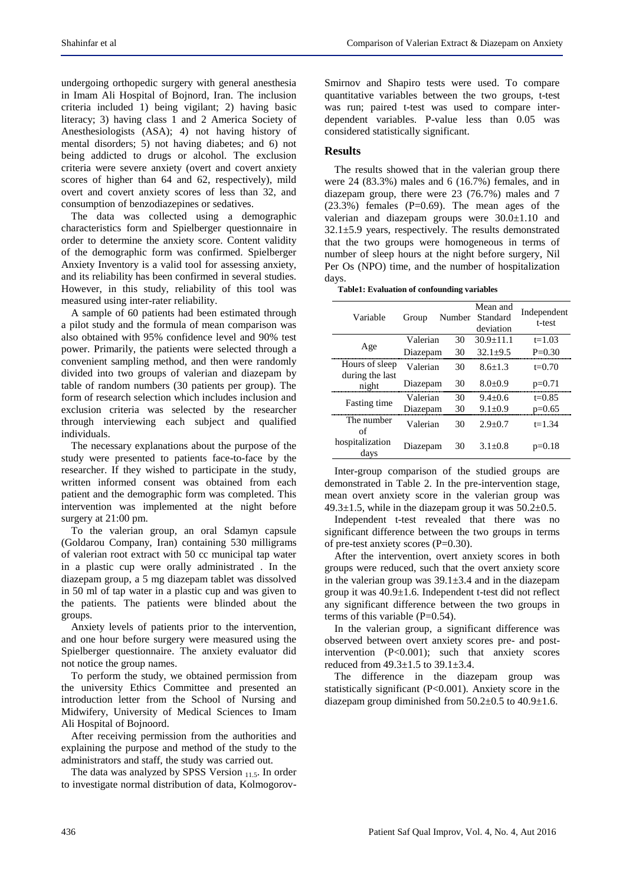undergoing orthopedic surgery with general anesthesia in Imam Ali Hospital of Bojnord, Iran. The inclusion criteria included 1) being vigilant; 2) having basic literacy; 3) having class 1 and 2 America Society of Anesthesiologists (ASA); 4) not having history of mental disorders; 5) not having diabetes; and 6) not being addicted to drugs or alcohol. The exclusion criteria were severe anxiety (overt and covert anxiety scores of higher than 64 and 62, respectively), mild overt and covert anxiety scores of less than 32, and consumption of benzodiazepines or sedatives.

The data was collected using a demographic characteristics form and Spielberger questionnaire in order to determine the anxiety score. Content validity of the demographic form was confirmed. Spielberger Anxiety Inventory is a valid tool for assessing anxiety, and its reliability has been confirmed in several studies. However, in this study, reliability of this tool was measured using inter-rater reliability.

A sample of 60 patients had been estimated through a pilot study and the formula of mean comparison was also obtained with 95% confidence level and 90% test power. Primarily, the patients were selected through a convenient sampling method, and then were randomly divided into two groups of valerian and diazepam by table of random numbers (30 patients per group). The form of research selection which includes inclusion and exclusion criteria was selected by the researcher through interviewing each subject and qualified individuals.

The necessary explanations about the purpose of the study were presented to patients face-to-face by the researcher. If they wished to participate in the study, written informed consent was obtained from each patient and the demographic form was completed. This intervention was implemented at the night before surgery at 21:00 pm.

To the valerian group, an oral Sdamyn capsule (Goldarou Company, Iran) containing 530 milligrams of valerian root extract with 50 cc municipal tap water in a plastic cup were orally administrated . In the diazepam group, a 5 mg diazepam tablet was dissolved in 50 ml of tap water in a plastic cup and was given to the patients. The patients were blinded about the groups.

Anxiety levels of patients prior to the intervention, and one hour before surgery were measured using the Spielberger questionnaire. The anxiety evaluator did not notice the group names.

To perform the study, we obtained permission from the university Ethics Committee and presented an introduction letter from the School of Nursing and Midwifery, University of Medical Sciences to Imam Ali Hospital of Bojnoord.

After receiving permission from the authorities and explaining the purpose and method of the study to the administrators and staff, the study was carried out.

The data was analyzed by SPSS Version  $_{11.5}$ . In order to investigate normal distribution of data, KolmogorovSmirnov and Shapiro tests were used. To compare quantitative variables between the two groups, t-test was run; paired t-test was used to compare interdependent variables. P-value less than 0.05 was considered statistically significant.

## **Results**

The results showed that in the valerian group there were 24 (83.3%) males and 6 (16.7%) females, and in diazepam group, there were 23 (76.7%) males and 7  $(23.3\%)$  females  $(P=0.69)$ . The mean ages of the valerian and diazepam groups were 30.0±1.10 and  $32.1 \pm 5.9$  years, respectively. The results demonstrated that the two groups were homogeneous in terms of number of sleep hours at the night before surgery, Nil Per Os (NPO) time, and the number of hospitalization days.

**Table1: Evaluation of confounding variables**

| Variable                          | Group    | Number | Mean and<br>Standard<br>deviation | Independent<br>t-test |
|-----------------------------------|----------|--------|-----------------------------------|-----------------------|
| Age                               | Valerian | 30     | $30.9 + 11.1$                     | $t=1.03$              |
|                                   | Diazepam | 30     | $32.1 + 9.5$                      | $P=0.30$              |
| Hours of sleep<br>during the last | Valerian | 30     | $8.6 + 1.3$                       | $t=0.70$              |
| night                             | Diazepam | 30     | $8.0 + 0.9$                       | $p=0.71$              |
| Fasting time                      | Valerian | 30     | $9.4+0.6$                         | $t=0.85$              |
|                                   | Diazepam | 30     | $9.1 \pm 0.9$                     | $p=0.65$              |
| The number<br>of                  | Valerian |        | $2.9 + 0.7$                       | $t = 1.34$            |
| hospitalization<br>days           | Diazepam | 30     | $3.1 + 0.8$                       |                       |

Inter-group comparison of the studied groups are demonstrated in Table 2. In the pre-intervention stage, mean overt anxiety score in the valerian group was 49.3 $\pm$ 1.5, while in the diazepam group it was 50.2 $\pm$ 0.5.

Independent t-test revealed that there was no significant difference between the two groups in terms of pre-test anxiety scores (P=0.30).

After the intervention, overt anxiety scores in both groups were reduced, such that the overt anxiety score in the valerian group was  $39.1 \pm 3.4$  and in the diazepam group it was 40.9±1.6. Independent t-test did not reflect any significant difference between the two groups in terms of this variable  $(P=0.54)$ .

In the valerian group, a significant difference was observed between overt anxiety scores pre- and postintervention (P<0.001); such that anxiety scores reduced from  $49.3 \pm 1.5$  to  $39.1 \pm 3.4$ .

The difference in the diazepam group was statistically significant (P<0.001). Anxiety score in the diazepam group diminished from 50.2±0.5 to 40.9±1.6.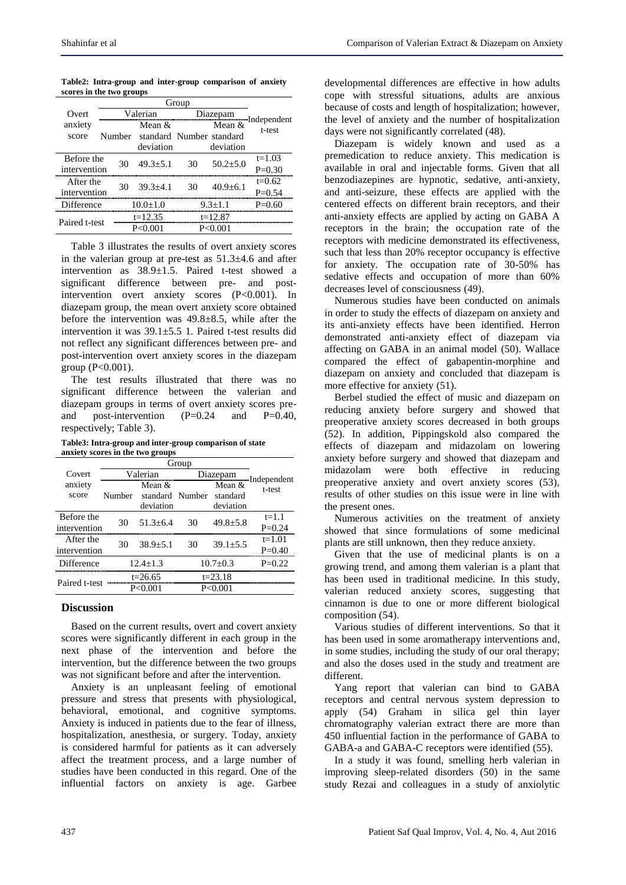| Table2: Intra-group and inter-group comparison of anxiety |  |  |  |
|-----------------------------------------------------------|--|--|--|
| scores in the two groups                                  |  |  |  |

|                   | Group |                                 |           |                |                                    |  |
|-------------------|-------|---------------------------------|-----------|----------------|------------------------------------|--|
| Overt)            |       | Valerian                        |           | Diazenam       |                                    |  |
| anxiety           |       | Mean $\&$                       |           | Mean $\&$      | $\mathbb{Z}$ Independent<br>t-test |  |
| score             |       | Number standard Number standard |           |                |                                    |  |
|                   |       | deviation                       |           | deviation      |                                    |  |
| <b>Before the</b> | 30    | $49.3 + 5.1$                    | 30        | $50.2 + 5.0$   | $t=1.03$                           |  |
| intervention      |       |                                 |           |                | $P=0.30$                           |  |
| After the         | 30    | $39.3 + 4.1$                    | 30        | $40.9 \pm 6.1$ | $t=0.62$                           |  |
| intervention      |       |                                 |           |                | $P=0.54$                           |  |
| Difference        |       | $10.0 + 1.0$                    |           | $9.3 + 1.1$    | P-0.60                             |  |
| Paired t-test     |       | $t=12.35$                       |           | $t=12.87$      |                                    |  |
|                   |       | P < 0.001                       | P < 0.001 |                |                                    |  |

Table 3 illustrates the results of overt anxiety scores in the valerian group at pre-test as 51.3±4.6 and after intervention as 38.9±1.5. Paired t-test showed a significant difference between pre- and postintervention overt anxiety scores (P<0.001). In diazepam group, the mean overt anxiety score obtained before the intervention was  $49.8\pm8.5$ , while after the intervention it was  $39.1 \pm 5.5$  1. Paired t-test results did not reflect any significant differences between pre- and post-intervention overt anxiety scores in the diazepam group (P<0.001).

The test results illustrated that there was no significant difference between the valerian and diazepam groups in terms of overt anxiety scores preand post-intervention  $(P=0.24$  and  $P=0.40$ , respectively; Table 3).

**Table3: Intra-group and inter-group comparison of state anxiety scores in the two groups**

| Covert                     |             | Valerian                                 | Diazepam    |                                   |                         |
|----------------------------|-------------|------------------------------------------|-------------|-----------------------------------|-------------------------|
| anxiety<br>score           | Number      | Mean $&$<br>standard Number<br>deviation |             | Mean $&$<br>standard<br>deviation | Independent<br>t-test   |
| Before the<br>intervention | 30          | $51.3 + 6.4$                             | 30          | $49.8 \pm 5.8$                    | $t = 1.1$<br>$P = 0.24$ |
| After the<br>intervention  | 30          | $38.9 \pm 5.1$                           | 30          | $39.1 \pm 5.5$                    | $t=1.01$<br>$P=0.40$    |
| Difference                 |             | $12.4 \pm 1.3$                           |             | $10.7 \pm 0.3$                    | $P=0.22$                |
| Paired t-test              | $t = 26.65$ |                                          | $t = 23.18$ |                                   |                         |
|                            | P<0.001     |                                          | P< 0.001    |                                   |                         |

#### **Discussion**

Based on the current results, overt and covert anxiety scores were significantly different in each group in the next phase of the intervention and before the intervention, but the difference between the two groups was not significant before and after the intervention.

Anxiety is an unpleasant feeling of emotional pressure and stress that presents with physiological, behavioral, emotional, and cognitive symptoms. Anxiety is induced in patients due to the fear of illness, hospitalization, anesthesia, or surgery. Today, anxiety is considered harmful for patients as it can adversely affect the treatment process, and a large number of studies have been conducted in this regard. One of the influential factors on anxiety is age. Garbee

developmental differences are effective in how adults cope with stressful situations, adults are anxious because of costs and length of hospitalization; however, the level of anxiety and the number of hospitalization days were not significantly correlated (48).

Diazepam is widely known and used as a premedication to reduce anxiety. This medication is available in oral and injectable forms. Given that all benzodiazepines are hypnotic, sedative, anti-anxiety, and anti-seizure, these effects are applied with the centered effects on different brain receptors, and their anti-anxiety effects are applied by acting on GABA A receptors in the brain; the occupation rate of the receptors with medicine demonstrated its effectiveness, such that less than 20% receptor occupancy is effective for anxiety. The occupation rate of 30-50% has sedative effects and occupation of more than 60% decreases level of consciousness (49).

Numerous studies have been conducted on animals in order to study the effects of diazepam on anxiety and its anti-anxiety effects have been identified. Herron demonstrated anti-anxiety effect of diazepam via affecting on GABA in an animal model (50). Wallace compared the effect of gabapentin-morphine and diazepam on anxiety and concluded that diazepam is more effective for anxiety (51).

Berbel studied the effect of music and diazepam on reducing anxiety before surgery and showed that preoperative anxiety scores decreased in both groups (52). In addition, Pippingskold also compared the effects of diazepam and midazolam on lowering anxiety before surgery and showed that diazepam and midazolam were both effective in reducing preoperative anxiety and overt anxiety scores (53), results of other studies on this issue were in line with the present ones.

Numerous activities on the treatment of anxiety showed that since formulations of some medicinal plants are still unknown, then they reduce anxiety.

Given that the use of medicinal plants is on a growing trend, and among them valerian is a plant that has been used in traditional medicine. In this study, valerian reduced anxiety scores, suggesting that cinnamon is due to one or more different biological composition (54).

Various studies of different interventions. So that it has been used in some aromatherapy interventions and, in some studies, including the study of our oral therapy; and also the doses used in the study and treatment are different.

Yang report that valerian can bind to GABA receptors and central nervous system depression to apply (54) Graham in silica gel thin layer chromatography valerian extract there are more than 450 influential faction in the performance of GABA to GABA-a and GABA-C receptors were identified (55).

In a study it was found, smelling herb valerian in improving sleep-related disorders (50) in the same study Rezai and colleagues in a study of anxiolytic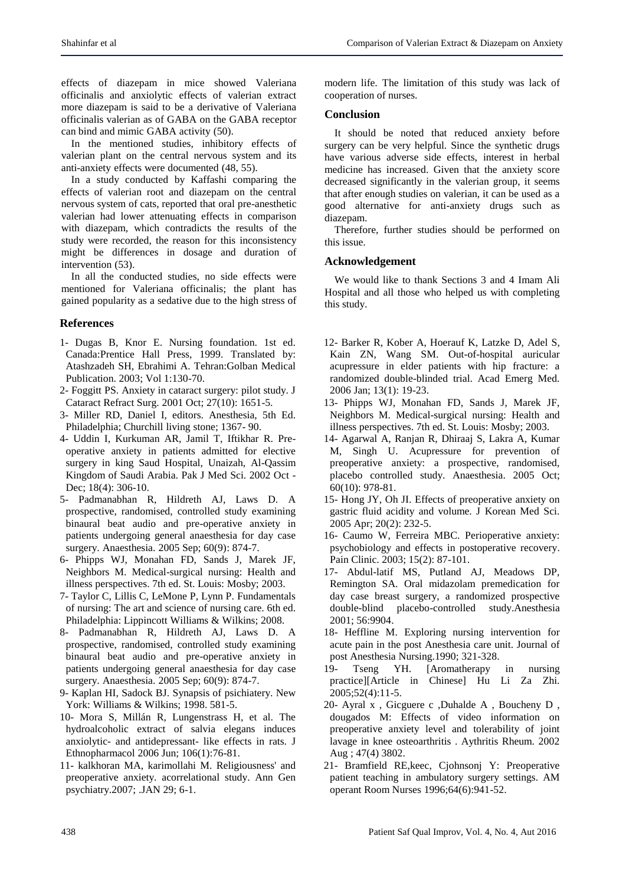effects of diazepam in mice showed Valeriana officinalis and anxiolytic effects of valerian extract more diazepam is said to be a derivative of Valeriana officinalis valerian as of GABA on the GABA receptor can bind and mimic GABA activity (50).

In the mentioned studies, inhibitory effects of valerian plant on the central nervous system and its anti-anxiety effects were documented (48, 55).

In a study conducted by Kaffashi comparing the effects of valerian root and diazepam on the central nervous system of cats, reported that oral pre-anesthetic valerian had lower attenuating effects in comparison with diazepam, which contradicts the results of the study were recorded, the reason for this inconsistency might be differences in dosage and duration of intervention (53).

In all the conducted studies, no side effects were mentioned for Valeriana officinalis; the plant has gained popularity as a sedative due to the high stress of

# **References**

- 1- Dugas B, Knor E. Nursing foundation. 1st ed. Canada:Prentice Hall Press, 1999. Translated by: Atashzadeh SH, Ebrahimi A. Tehran:Golban Medical Publication. 2003; Vol 1:130-70.
- 2- Foggitt PS. Anxiety in cataract surgery: pilot study. J Cataract Refract Surg. 2001 Oct; 27(10): 1651-5.
- 3- Miller RD, Daniel I, editors. Anesthesia, 5th Ed. Philadelphia; Churchill living stone; 1367- 90.
- 4- Uddin I, Kurkuman AR, Jamil T, Iftikhar R. Preoperative anxiety in patients admitted for elective surgery in king Saud Hospital, Unaizah, Al-Qassim Kingdom of Saudi Arabia. Pak J Med Sci. 2002 Oct - Dec; 18(4): 306-10.
- 5- Padmanabhan R, Hildreth AJ, Laws D. A prospective, randomised, controlled study examining binaural beat audio and pre-operative anxiety in patients undergoing general anaesthesia for day case surgery. Anaesthesia. 2005 Sep; 60(9): 874-7.
- 6- Phipps WJ, Monahan FD, Sands J, Marek JF, Neighbors M. Medical-surgical nursing: Health and illness perspectives. 7th ed. St. Louis: Mosby; 2003.
- 7- Taylor C, Lillis C, LeMone P, Lynn P. Fundamentals of nursing: The art and science of nursing care. 6th ed. Philadelphia: Lippincott Williams & Wilkins; 2008.
- 8- Padmanabhan R, Hildreth AJ, Laws D. A prospective, randomised, controlled study examining binaural beat audio and pre-operative anxiety in patients undergoing general anaesthesia for day case surgery. Anaesthesia. 2005 Sep; 60(9): 874-7.
- 9- Kaplan HI, Sadock BJ. Synapsis of psichiatery. New York: Williams & Wilkins; 1998. 581-5.
- 10- Mora S, Millán R, Lungenstrass H, et al. The hydroalcoholic extract of salvia elegans induces anxiolytic- and antidepressant- like effects in rats. J Ethnopharmacol 2006 Jun; 106(1):76-81.
- 11- kalkhoran MA, karimollahi M. Religiousness' and preoperative anxiety. acorrelational study. Ann Gen psychiatry.2007; .JAN 29; 6-1.

modern life. The limitation of this study was lack of cooperation of nurses.

## **Conclusion**

It should be noted that reduced anxiety before surgery can be very helpful. Since the synthetic drugs have various adverse side effects, interest in herbal medicine has increased. Given that the anxiety score decreased significantly in the valerian group, it seems that after enough studies on valerian, it can be used as a good alternative for anti-anxiety drugs such as diazepam.

Therefore, further studies should be performed on this issue.

# **Acknowledgement**

We would like to thank Sections 3 and 4 Imam Ali Hospital and all those who helped us with completing this study.

- 12- Barker R, Kober A, Hoerauf K, Latzke D, Adel S, Kain ZN, Wang SM. Out-of-hospital auricular acupressure in elder patients with hip fracture: a randomized double-blinded trial. Acad Emerg Med. 2006 Jan; 13(1): 19-23.
- 13- Phipps WJ, Monahan FD, Sands J, Marek JF, Neighbors M. Medical-surgical nursing: Health and illness perspectives. 7th ed. St. Louis: Mosby; 2003.
- 14- Agarwal A, Ranjan R, Dhiraaj S, Lakra A, Kumar M, Singh U. Acupressure for prevention of preoperative anxiety: a prospective, randomised, placebo controlled study. Anaesthesia. 2005 Oct; 60(10): 978-81.
- 15- Hong JY, Oh JI. Effects of preoperative anxiety on gastric fluid acidity and volume. J Korean Med Sci. 2005 Apr; 20(2): 232-5.
- 16- Caumo W, Ferreira MBC. Perioperative anxiety: psychobiology and effects in postoperative recovery. Pain Clinic. 2003; 15(2): 87-101.
- 17- Abdul-latif MS, Putland AJ, Meadows DP, Remington SA. Oral midazolam premedication for day case breast surgery, a randomized prospective double-blind placebo-controlled study.Anesthesia 2001; 56:9904.
- 18- Heffline M. Exploring nursing intervention for acute pain in the post Anesthesia care unit. Journal of post Anesthesia Nursing.1990; 321-328.
- 19- Tseng YH. [Aromatherapy in nursing practice][Article in Chinese] Hu Li Za Zhi. 2005;52(4):11-5.
- 20- Ayral x , Gicguere c ,Duhalde A , Boucheny D , dougados M: Effects of video information on preoperative anxiety level and tolerability of joint lavage in knee osteoarthritis . Aythritis Rheum. 2002 Aug ; 47(4) 3802.
- 21- Bramfield RE,keec, Cjohnsonj Y: Preoperative patient teaching in ambulatory surgery settings. AM operant Room Nurses 1996;64(6):941-52.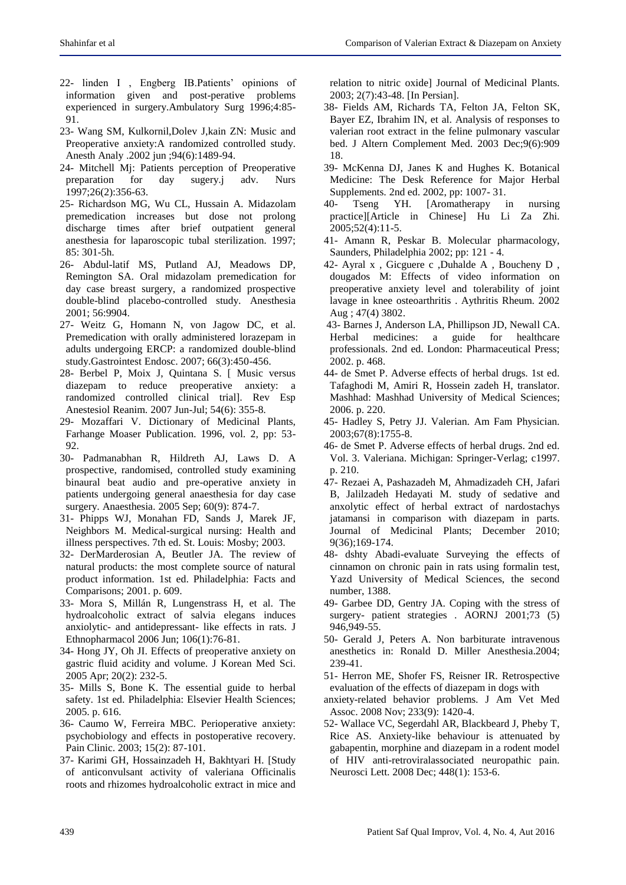- 22- linden I , Engberg IB.Patients' opinions of information given and post-perative problems experienced in surgery.Ambulatory Surg 1996;4:85- 91.
- 23- Wang SM, Kulkornil,Dolev J,kain ZN: Music and Preoperative anxiety:A randomized controlled study. Anesth Analy .2002 jun ;94(6):1489-94.
- 24- Mitchell Mj: Patients perception of Preoperative preparation for day sugery.j adv. Nurs 1997;26(2):356-63.
- 25- Richardson MG, Wu CL, Hussain A. Midazolam premedication increases but dose not prolong discharge times after brief outpatient general anesthesia for laparoscopic tubal sterilization. 1997; 85: 301-5h.
- 26- Abdul-latif MS, Putland AJ, Meadows DP, Remington SA. Oral midazolam premedication for day case breast surgery, a randomized prospective double-blind placebo-controlled study. Anesthesia 2001; 56:9904.
- 27- Weitz G, Homann N, von Jagow DC, et al. Premedication with orally administered lorazepam in adults undergoing ERCP: a randomized double-blind study.Gastrointest Endosc. 2007; 66(3):450-456.
- 28- Berbel P, Moix J, Quintana S. [ Music versus diazepam to reduce preoperative anxiety: a randomized controlled clinical trial]. Rev Esp Anestesiol Reanim. 2007 Jun-Jul; 54(6): 355-8.
- 29- Mozaffari V. Dictionary of Medicinal Plants, Farhange Moaser Publication. 1996, vol. 2, pp: 53- 92.
- 30- Padmanabhan R, Hildreth AJ, Laws D. A prospective, randomised, controlled study examining binaural beat audio and pre-operative anxiety in patients undergoing general anaesthesia for day case surgery. Anaesthesia. 2005 Sep; 60(9): 874-7.
- 31- Phipps WJ, Monahan FD, Sands J, Marek JF, Neighbors M. Medical-surgical nursing: Health and illness perspectives. 7th ed. St. Louis: Mosby; 2003.
- 32- DerMarderosian A, Beutler JA. The review of natural products: the most complete source of natural product information. 1st ed. Philadelphia: Facts and Comparisons; 2001. p. 609.
- 33- Mora S, Millán R, Lungenstrass H, et al. The hydroalcoholic extract of salvia elegans induces anxiolytic- and antidepressant- like effects in rats. J Ethnopharmacol 2006 Jun; 106(1):76-81.
- 34- Hong JY, Oh JI. Effects of preoperative anxiety on gastric fluid acidity and volume. J Korean Med Sci. 2005 Apr; 20(2): 232-5.
- 35- Mills S, Bone K. The essential guide to herbal safety. 1st ed. Philadelphia: Elsevier Health Sciences; 2005. p. 616.
- 36- Caumo W, Ferreira MBC. Perioperative anxiety: psychobiology and effects in postoperative recovery. Pain Clinic. 2003; 15(2): 87-101.
- 37- Karimi GH, Hossainzadeh H, Bakhtyari H. [Study of anticonvulsant activity of valeriana Officinalis roots and rhizomes hydroalcoholic extract in mice and

relation to nitric oxide] Journal of Medicinal Plants. 2003; 2(7):43-48. [In Persian].

- 38- Fields AM, Richards TA, Felton JA, Felton SK, Bayer EZ, Ibrahim IN, et al. Analysis of responses to valerian root extract in the feline pulmonary vascular bed. J Altern Complement Med. 2003 Dec;9(6):909 18.
- 39- McKenna DJ, Janes K and Hughes K. Botanical Medicine: The Desk Reference for Major Herbal Supplements. 2nd ed. 2002, pp: 1007- 31.
- 40- Tseng YH. [Aromatherapy in nursing practice][Article in Chinese] Hu Li Za Zhi. 2005;52(4):11-5.
- 41- Amann R, Peskar B. Molecular pharmacology, Saunders, Philadelphia 2002; pp: 121 - 4.
- 42- Ayral x , Gicguere c ,Duhalde A , Boucheny D , dougados M: Effects of video information on preoperative anxiety level and tolerability of joint lavage in knee osteoarthritis . Aythritis Rheum. 2002 Aug ; 47(4) 3802.
- 43- Barnes J, Anderson LA, Phillipson JD, Newall CA. Herbal medicines: a guide for healthcare professionals. 2nd ed. London: Pharmaceutical Press; 2002. p. 468.
- 44- de Smet P. Adverse effects of herbal drugs. 1st ed. Tafaghodi M, Amiri R, Hossein zadeh H, translator. Mashhad: Mashhad University of Medical Sciences; 2006. p. 220.
- 45- Hadley S, Petry JJ. Valerian. Am Fam Physician. 2003;67(8):1755-8.
- 46- de Smet P. Adverse effects of herbal drugs. 2nd ed. Vol. 3. Valeriana. Michigan: Springer-Verlag; c1997. p. 210.
- 47- Rezaei A, Pashazadeh M, Ahmadizadeh CH, Jafari B, Jalilzadeh Hedayati M. study of sedative and anxolytic effect of herbal extract of nardostachys jatamansi in comparison with diazepam in parts. Journal of Medicinal Plants; December 2010; 9(36);169-174.
- 48- dshty Abadi-evaluate Surveying the effects of cinnamon on chronic pain in rats using formalin test, Yazd University of Medical Sciences, the second number, 1388.
- 49- Garbee DD, Gentry JA. Coping with the stress of surgery- patient strategies . AORNJ 2001;73 (5) 946,949-55.
- 50- Gerald J, Peters A. Non barbiturate intravenous anesthetics in: Ronald D. Miller Anesthesia.2004; 239-41.
- 51- Herron ME, Shofer FS, Reisner IR. Retrospective evaluation of the effects of diazepam in dogs with
- anxiety-related behavior problems. J Am Vet Med Assoc. 2008 Nov; 233(9): 1420-4.
- 52- Wallace VC, Segerdahl AR, Blackbeard J, Pheby T, Rice AS. Anxiety-like behaviour is attenuated by gabapentin, morphine and diazepam in a rodent model of HIV anti-retroviralassociated neuropathic pain. Neurosci Lett. 2008 Dec; 448(1): 153-6.